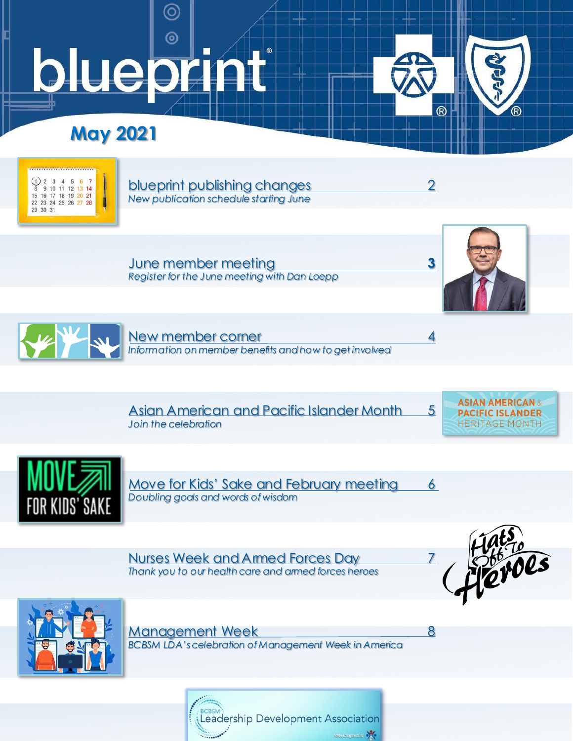## $\odot$ bluepr  $\blacksquare$  $^{\circ}$

 $\circledcirc$ 

# **May 2021**



[blueprint publishing changes](#page-1-0) 2 *New publication schedule starting June*

June member meeting **3** *[Register for the June meeting with Dan Loepp](#page-2-0)*



์ (R)

 $\circledR$ 



[New member corner 4](#page-3-0) *Information on member benefits and how to get involved*

[Asian American and Pacific Islander Month 5](#page-4-0) *Join the celebration*





[Move for Kids' Sake and February meeting](#page-5-0) 6 *Doubling goals and words of wisdom*

[Nurses Week and Armed Forces Day](#page-6-0) 7 *Thank you to our health care and armed forces heroes*





Management Week 8 *[BCBSM LDA's celebration of Management Week in America](#page-7-0)*

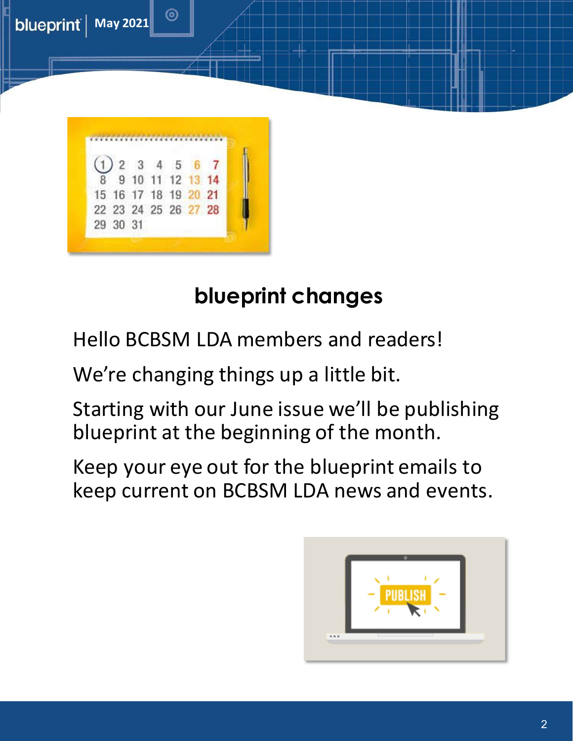<span id="page-1-0"></span>

# **blueprint changes**

Hello BCBSM LDA members and readers!

We're changing things up a little bit.

Starting with our June issue we'll be publishing blueprint at the beginning of the month.

Keep your eye out for the blueprint emails to keep current on BCBSM LDA news and events.

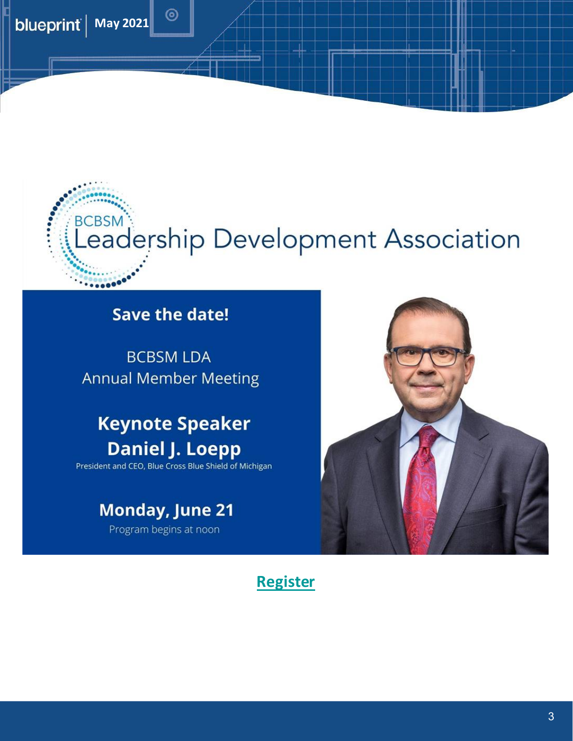<span id="page-2-0"></span>



## **Save the date!**

 $\circledcirc$ 

**BCBSM LDA Annual Member Meeting** 

# **Keynote Speaker Daniel J. Loepp**

President and CEO, Blue Cross Blue Shield of Michigan

# **Monday, June 21**

Program begins at noon



### **[Register](https://www.surveymonkey.com/r/J9J75BR)**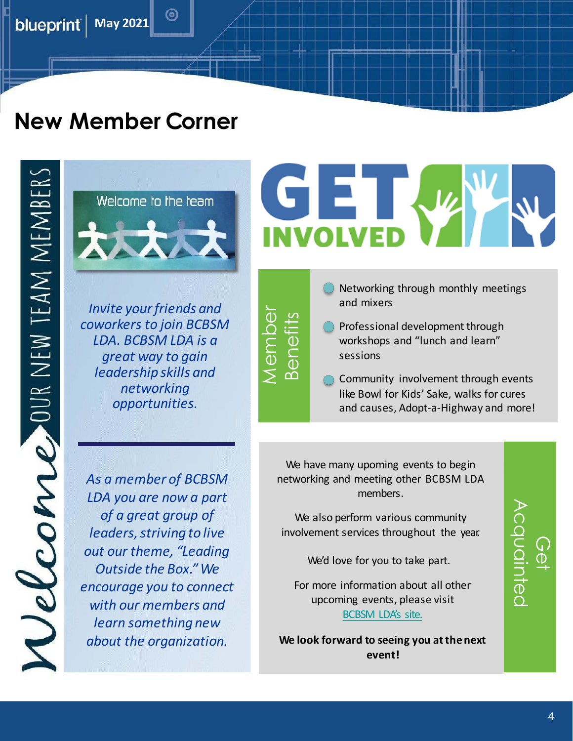<span id="page-3-0"></span>**blueprint** | May 2021

# **New Member Corner**

Uelcome our new team members



(0)

*Invite your friends and coworkers to join BCBSM LDA. BCBSM LDA is a great way to gain leadership skills and networking opportunities.*

*As a member of BCBSM LDA you are now a part of a great group of leaders, striving to live out our theme, "Leading Outside the Box." We encourage you to connect with our members and learn something new about the organization.*

# GE **NVOLVED**

- **Member** Membe Benefits
- Networking through monthly meetings and mixers
- **Professional development through** workshops and "lunch and learn" sessions
- Community involvement through events like Bowl for Kids' Sake, walks for cures and causes, Adopt-a-Highway and more!

We have many upoming events to begin networking and meeting other BCBSM LDA [members.](#page-5-1)

We also perform various community involvement services throughout the year.

We'd love for you to take part.

For more information about all other upcoming events, please visit [BCBSM LDA's site.](https://nma1.org/141/)

**We look forward to seeing you at thenext event!**

# Acquainted Acquaintec  $\bigcirc$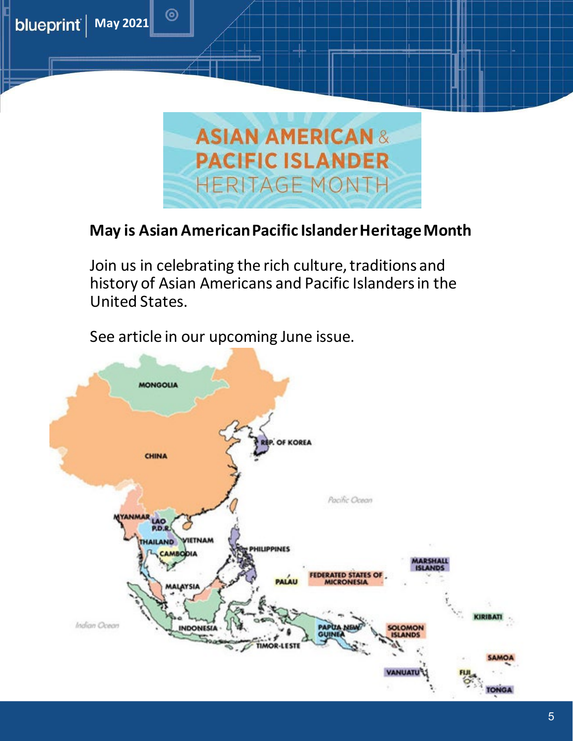

## **May is Asian American Pacific Islander Heritage Month**

Join us in celebrating the rich culture, traditions and history of Asian Americans and Pacific Islanders in the United States.

See article in our upcoming June issue.

<span id="page-4-0"></span>**blueprint** | May 2021

 $\circledcirc$ 

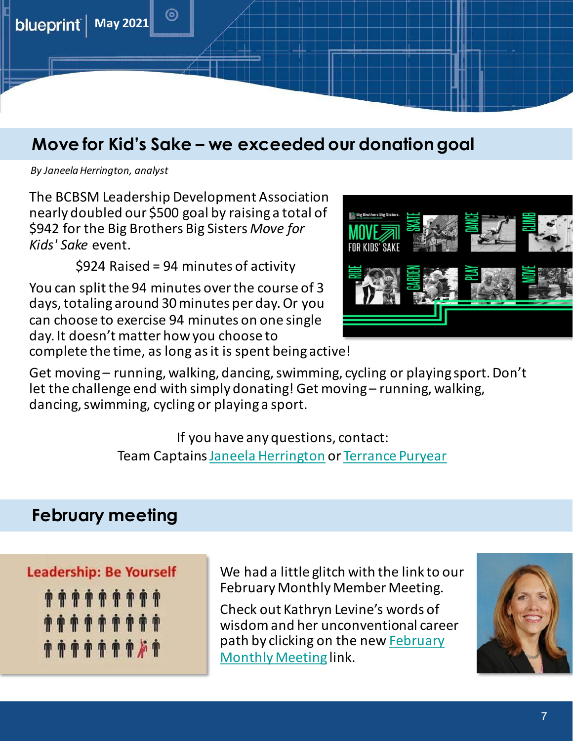<span id="page-5-1"></span><span id="page-5-0"></span>

# **Move for Kid's Sake – we exceeded our donation goal**

*By JaneelaHerrington, analyst*

The BCBSM Leadership Development Association nearly doubled our \$500 goal by raising a total of \$942 for the Big Brothers Big Sisters *Move for Kids' Sake* event.

\$924 Raised = 94 minutes of activity

You can split the 94 minutes over the course of 3 days, totaling around 30 minutes per day. Or you can choose to exercise 94 minutes on one single day. It doesn't matter how you choose to complete the time, as long as it is spent being active!



Get moving – running, walking, dancing, swimming, cycling or playing sport. Don't let the challenge end with simply donating! Get moving – running, walking, dancing, swimming, cycling or playing a sport.

> If you have any questions, contact: Team Captains Janeela [Herrington](mailto:jherrington@bcbsm.com) or [Terrance Puryear](mailto:tpuryear@bcbsm.com)

# **February meeting**

### **Leadership: Be Yourself**



We had a little glitch with the link to our February Monthly Member Meeting.

Check out Kathryn Levine's words of wisdom and her unconventional career path by clicking on the new **February** Monthly Meeting link.

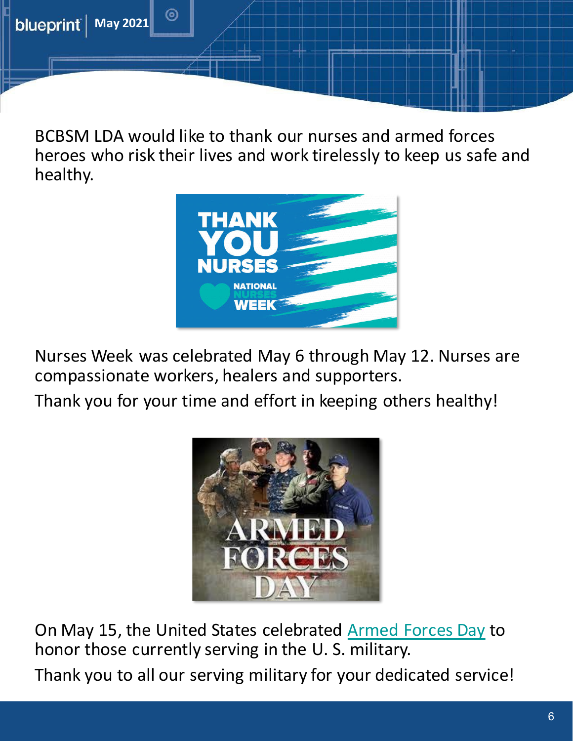<span id="page-6-0"></span>

BCBSM LDA would like to thank our nurses and armed forces heroes who risk their lives and work tirelessly to keep us safe and healthy.



Nurses Week was celebrated May 6 through May 12. Nurses are compassionate workers, healers and supporters.

Thank you for your time and effort in keeping others healthy!



On May 15, the United States celebrated [Armed Forces Day](https://www.military.com/military-appreciation-month/history-of-armed-forces-day.html) to honor those currently serving in the U. S. military. Thank you to all our serving military for your dedicated service!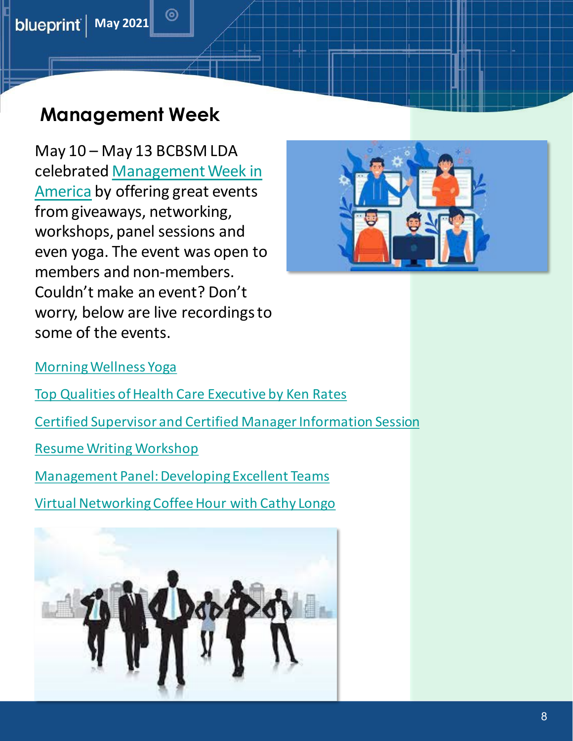<span id="page-7-0"></span>

# **Management Week**

 $\circledcirc$ 

May 10 – May 13 BCBSM LDA [celebrated Management Week in](https://nma1.org/management-week-in-america/)  America by offering great events from giveaways, networking, workshops, panel sessions and even yoga. The event was open to members and non-members. Couldn't make an event? Don't worry, below are live recordings to some of the events.



[Morning Wellness Yoga](https://vimeo.com/551618932/10106fbf13)

- [Top Qualities of Health Care Executive by Ken Rates](https://vimeo.com/551630443/fa1bfc330c)
- [Certified Supervisor and Certified Manager Information Session](https://vimeo.com/551634875/25eb159f2a)

[Resume Writing Workshop](https://vimeo.com/551621703/97c868f5ed)

[Management Panel: Developing Excellent Teams](https://vimeo.com/551626208/4ab2762404)

[Virtual Networking Coffee Hour with Cathy Longo](https://vimeo.com/551636894/080744d274)